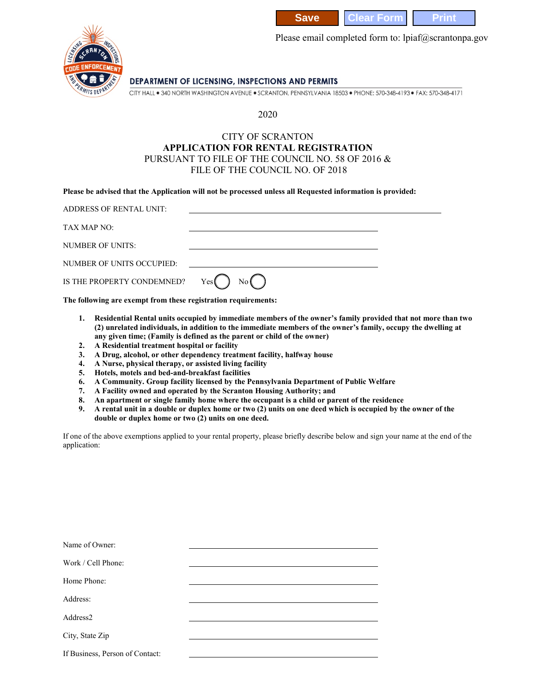



Please email completed form to: lpiaf@scrantonpa.gov

## DEPARTMENT OF LICENSING, INSPECTIONS AND PERMITS

CITY HALL . 340 NORTH WASHINGTON AVENUE . SCRANTON, PENNSYLVANIA 18503 . PHONE: 570-348-4193 . FAX: 570-348-4171

## 2020

## CITY OF SCRANTON **APPLICATION FOR RENTAL REGISTRATION** PURSUANT TO FILE OF THE COUNCIL NO. 58 OF 2016 & FILE OF THE COUNCIL NO. OF 2018

**Please be advised that the Application will not be processed unless all Requested information is provided:**

| ADDRESS OF RENTAL UNIT:          |             |  |
|----------------------------------|-------------|--|
| TAX MAP NO:                      |             |  |
| NUMBER OF UNITS:                 |             |  |
| NUMBER OF UNITS OCCUPIED:        |             |  |
| IS THE PROPERTY CONDEMNED? $Yes$ | No <b>(</b> |  |

**The following are exempt from these registration requirements:**

- **1. Residential Rental units occupied by immediate members of the owner's family provided that not more than two (2) unrelated individuals, in addition to the immediate members of the owner's family, occupy the dwelling at any given time; (Family is defined as the parent or child of the owner)**
- **2. A Residential treatment hospital or facility**
- **3. A Drug, alcohol, or other dependency treatment facility, halfway house**
- **4. A Nurse, physical therapy, or assisted living facility**
- **5. Hotels, motels and bed-and-breakfast facilities**
- **6. A Community. Group facility licensed by the Pennsylvania Department of Public Welfare**
- **7. A Facility owned and operated by the Scranton Housing Authority; and**
- **8. An apartment or single family home where the occupant is a child or parent of the residence**
- **9. A rental unit in a double or duplex home or two (2) units on one deed which is occupied by the owner of the double or duplex home or two (2) units on one deed.**

If one of the above exemptions applied to your rental property, please briefly describe below and sign your name at the end of the application:

| Name of Owner:                  |  |
|---------------------------------|--|
| Work / Cell Phone:              |  |
| Home Phone:                     |  |
| Address:                        |  |
| Address2                        |  |
| City, State Zip                 |  |
| If Business, Person of Contact: |  |